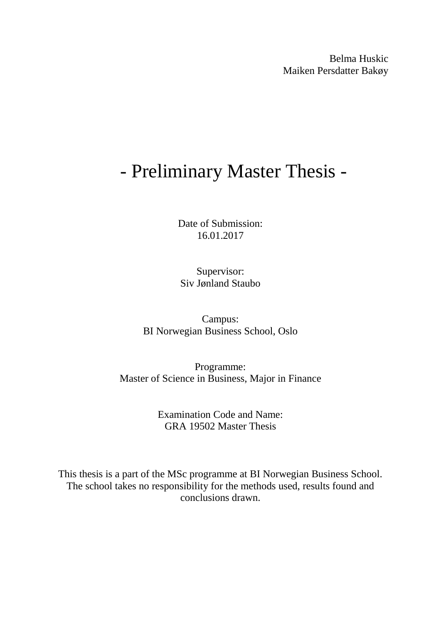Belma Huskic Maiken Persdatter Bakøy

# - Preliminary Master Thesis -

Date of Submission: 16.01.2017

Supervisor: Siv Jønland Staubo

Campus: BI Norwegian Business School, Oslo

Programme: Master of Science in Business, Major in Finance

> Examination Code and Name: GRA 19502 Master Thesis

This thesis is a part of the MSc programme at BI Norwegian Business School. The school takes no responsibility for the methods used, results found and conclusions drawn.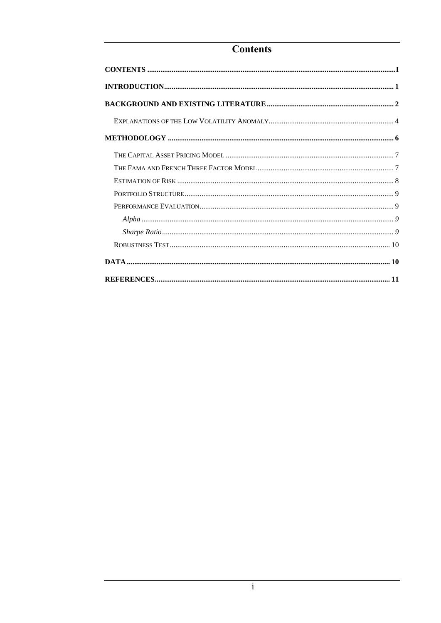# <span id="page-1-0"></span>**Contents**

| $\textbf{CONTENTS} \textcolor{red}{.}\textcolor{red}{\textbf{X11}} \textbf{12} \textbf{13} \textbf{14} \textbf{15} \textbf{16} \textbf{17} \textbf{18} \textbf{18} \textbf{19} \textbf{19} \textbf{19} \textbf{19} \textbf{19} \textbf{19} \textbf{19} \textbf{19} \textbf{19} \textbf{19} \textbf{19} \textbf{19} \textbf{19} \textbf{19} \textbf{19} \textbf{19} \textbf{19} \textbf{19} \textbf{19} \textbf$ |
|-----------------------------------------------------------------------------------------------------------------------------------------------------------------------------------------------------------------------------------------------------------------------------------------------------------------------------------------------------------------------------------------------------------------|
|                                                                                                                                                                                                                                                                                                                                                                                                                 |
|                                                                                                                                                                                                                                                                                                                                                                                                                 |
|                                                                                                                                                                                                                                                                                                                                                                                                                 |
|                                                                                                                                                                                                                                                                                                                                                                                                                 |
|                                                                                                                                                                                                                                                                                                                                                                                                                 |
|                                                                                                                                                                                                                                                                                                                                                                                                                 |
|                                                                                                                                                                                                                                                                                                                                                                                                                 |
|                                                                                                                                                                                                                                                                                                                                                                                                                 |
|                                                                                                                                                                                                                                                                                                                                                                                                                 |
|                                                                                                                                                                                                                                                                                                                                                                                                                 |
|                                                                                                                                                                                                                                                                                                                                                                                                                 |
|                                                                                                                                                                                                                                                                                                                                                                                                                 |
|                                                                                                                                                                                                                                                                                                                                                                                                                 |
|                                                                                                                                                                                                                                                                                                                                                                                                                 |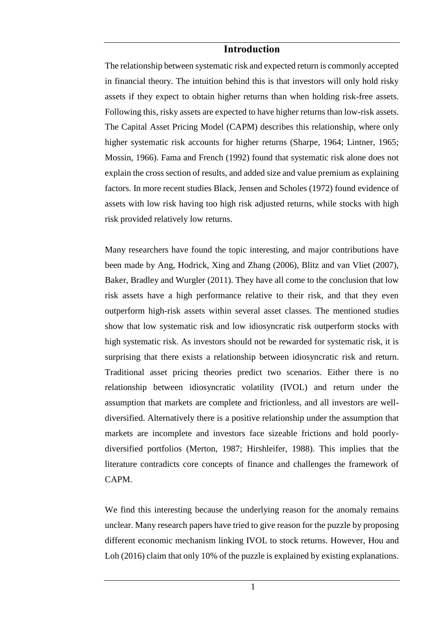## **Introduction**

<span id="page-2-0"></span>The relationship between systematic risk and expected return is commonly accepted in financial theory. The intuition behind this is that investors will only hold risky assets if they expect to obtain higher returns than when holding risk-free assets. Following this, risky assets are expected to have higher returns than low-risk assets. The Capital Asset Pricing Model (CAPM) describes this relationship, where only higher systematic risk accounts for higher returns (Sharpe, 1964; Lintner, 1965; Mossin, 1966). Fama and French (1992) found that systematic risk alone does not explain the cross section of results, and added size and value premium as explaining factors. In more recent studies Black, Jensen and Scholes (1972) found evidence of assets with low risk having too high risk adjusted returns, while stocks with high risk provided relatively low returns.

Many researchers have found the topic interesting, and major contributions have been made by Ang, Hodrick, Xing and Zhang (2006), Blitz and van Vliet (2007), Baker, Bradley and Wurgler (2011). They have all come to the conclusion that low risk assets have a high performance relative to their risk, and that they even outperform high-risk assets within several asset classes. The mentioned studies show that low systematic risk and low idiosyncratic risk outperform stocks with high systematic risk. As investors should not be rewarded for systematic risk, it is surprising that there exists a relationship between idiosyncratic risk and return. Traditional asset pricing theories predict two scenarios. Either there is no relationship between idiosyncratic volatility (IVOL) and return under the assumption that markets are complete and frictionless, and all investors are welldiversified. Alternatively there is a positive relationship under the assumption that markets are incomplete and investors face sizeable frictions and hold poorlydiversified portfolios (Merton, 1987; Hirshleifer, 1988). This implies that the literature contradicts core concepts of finance and challenges the framework of CAPM.

We find this interesting because the underlying reason for the anomaly remains unclear. Many research papers have tried to give reason for the puzzle by proposing different economic mechanism linking IVOL to stock returns. However, Hou and Loh (2016) claim that only 10% of the puzzle is explained by existing explanations.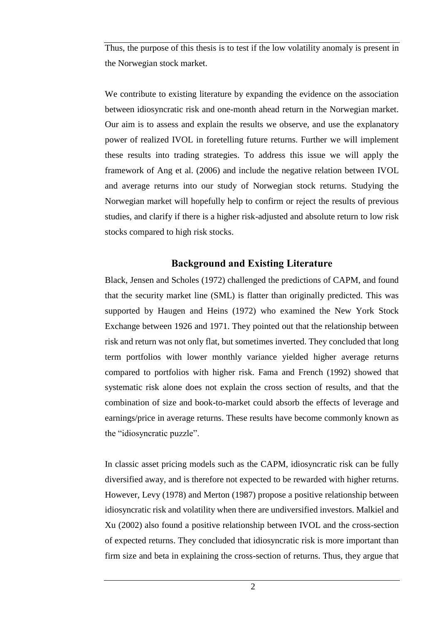Thus, the purpose of this thesis is to test if the low volatility anomaly is present in the Norwegian stock market.

We contribute to existing literature by expanding the evidence on the association between idiosyncratic risk and one-month ahead return in the Norwegian market. Our aim is to assess and explain the results we observe, and use the explanatory power of realized IVOL in foretelling future returns. Further we will implement these results into trading strategies. To address this issue we will apply the framework of Ang et al. (2006) and include the negative relation between IVOL and average returns into our study of Norwegian stock returns. Studying the Norwegian market will hopefully help to confirm or reject the results of previous studies, and clarify if there is a higher risk-adjusted and absolute return to low risk stocks compared to high risk stocks.

# **Background and Existing Literature**

<span id="page-3-0"></span>Black, Jensen and Scholes (1972) challenged the predictions of CAPM, and found that the security market line (SML) is flatter than originally predicted. This was supported by Haugen and Heins (1972) who examined the New York Stock Exchange between 1926 and 1971. They pointed out that the relationship between risk and return was not only flat, but sometimes inverted. They concluded that long term portfolios with lower monthly variance yielded higher average returns compared to portfolios with higher risk. Fama and French (1992) showed that systematic risk alone does not explain the cross section of results, and that the combination of size and book-to-market could absorb the effects of leverage and earnings/price in average returns. These results have become commonly known as the "idiosyncratic puzzle".

In classic asset pricing models such as the CAPM, idiosyncratic risk can be fully diversified away, and is therefore not expected to be rewarded with higher returns. However, Levy (1978) and Merton (1987) propose a positive relationship between idiosyncratic risk and volatility when there are undiversified investors. Malkiel and Xu (2002) also found a positive relationship between IVOL and the cross-section of expected returns. They concluded that idiosyncratic risk is more important than firm size and beta in explaining the cross-section of returns. Thus, they argue that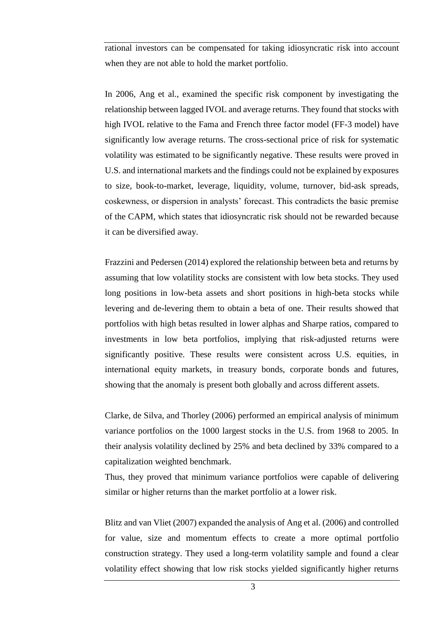rational investors can be compensated for taking idiosyncratic risk into account when they are not able to hold the market portfolio.

In 2006, Ang et al., examined the specific risk component by investigating the relationship between lagged IVOL and average returns. They found that stocks with high IVOL relative to the Fama and French three factor model (FF-3 model) have significantly low average returns. The cross-sectional price of risk for systematic volatility was estimated to be significantly negative. These results were proved in U.S. and international markets and the findings could not be explained by exposures to size, book-to-market, leverage, liquidity, volume, turnover, bid-ask spreads, coskewness, or dispersion in analysts' forecast. This contradicts the basic premise of the CAPM, which states that idiosyncratic risk should not be rewarded because it can be diversified away.

Frazzini and Pedersen (2014) explored the relationship between beta and returns by assuming that low volatility stocks are consistent with low beta stocks. They used long positions in low-beta assets and short positions in high-beta stocks while levering and de-levering them to obtain a beta of one. Their results showed that portfolios with high betas resulted in lower alphas and Sharpe ratios, compared to investments in low beta portfolios, implying that risk-adjusted returns were significantly positive. These results were consistent across U.S. equities, in international equity markets, in treasury bonds, corporate bonds and futures, showing that the anomaly is present both globally and across different assets.

Clarke, de Silva, and Thorley (2006) performed an empirical analysis of minimum variance portfolios on the 1000 largest stocks in the U.S. from 1968 to 2005. In their analysis volatility declined by 25% and beta declined by 33% compared to a capitalization weighted benchmark.

Thus, they proved that minimum variance portfolios were capable of delivering similar or higher returns than the market portfolio at a lower risk.

Blitz and van Vliet (2007) expanded the analysis of Ang et al. (2006) and controlled for value, size and momentum effects to create a more optimal portfolio construction strategy. They used a long-term volatility sample and found a clear volatility effect showing that low risk stocks yielded significantly higher returns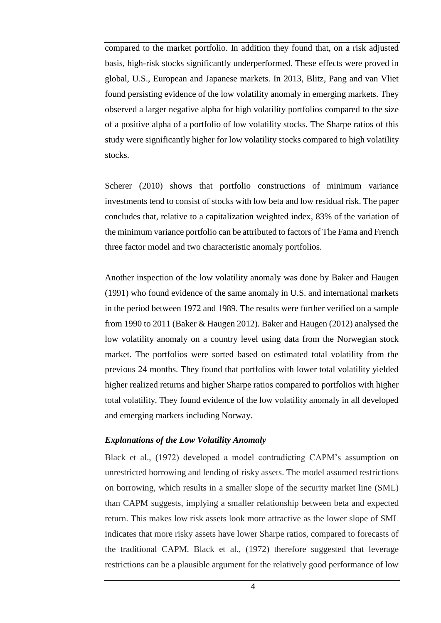compared to the market portfolio. In addition they found that, on a risk adjusted basis, high-risk stocks significantly underperformed. These effects were proved in global, U.S., European and Japanese markets. In 2013, Blitz, Pang and van Vliet found persisting evidence of the low volatility anomaly in emerging markets. They observed a larger negative alpha for high volatility portfolios compared to the size of a positive alpha of a portfolio of low volatility stocks. The Sharpe ratios of this study were significantly higher for low volatility stocks compared to high volatility stocks.

Scherer (2010) shows that portfolio constructions of minimum variance investments tend to consist of stocks with low beta and low residual risk. The paper concludes that, relative to a capitalization weighted index, 83% of the variation of the minimum variance portfolio can be attributed to factors of The Fama and French three factor model and two characteristic anomaly portfolios.

Another inspection of the low volatility anomaly was done by Baker and Haugen (1991) who found evidence of the same anomaly in U.S. and international markets in the period between 1972 and 1989. The results were further verified on a sample from 1990 to 2011 (Baker & Haugen 2012). Baker and Haugen (2012) analysed the low volatility anomaly on a country level using data from the Norwegian stock market. The portfolios were sorted based on estimated total volatility from the previous 24 months. They found that portfolios with lower total volatility yielded higher realized returns and higher Sharpe ratios compared to portfolios with higher total volatility. They found evidence of the low volatility anomaly in all developed and emerging markets including Norway.

### <span id="page-5-0"></span>*Explanations of the Low Volatility Anomaly*

Black et al., (1972) developed a model contradicting CAPM's assumption on unrestricted borrowing and lending of risky assets. The model assumed restrictions on borrowing, which results in a smaller slope of the security market line (SML) than CAPM suggests, implying a smaller relationship between beta and expected return. This makes low risk assets look more attractive as the lower slope of SML indicates that more risky assets have lower Sharpe ratios, compared to forecasts of the traditional CAPM. Black et al., (1972) therefore suggested that leverage restrictions can be a plausible argument for the relatively good performance of low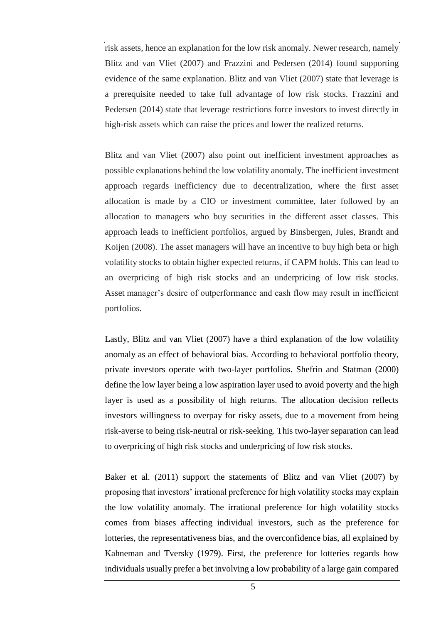risk assets, hence an explanation for the low risk anomaly. Newer research, namely Blitz and van Vliet (2007) and Frazzini and Pedersen (2014) found supporting evidence of the same explanation. Blitz and van Vliet (2007) state that leverage is a prerequisite needed to take full advantage of low risk stocks. Frazzini and Pedersen (2014) state that leverage restrictions force investors to invest directly in high-risk assets which can raise the prices and lower the realized returns.

Blitz and van Vliet (2007) also point out inefficient investment approaches as possible explanations behind the low volatility anomaly. The inefficient investment approach regards inefficiency due to decentralization, where the first asset allocation is made by a CIO or investment committee, later followed by an allocation to managers who buy securities in the different asset classes. This approach leads to inefficient portfolios, argued by Binsbergen, Jules, Brandt and Koijen (2008). The asset managers will have an incentive to buy high beta or high volatility stocks to obtain higher expected returns, if CAPM holds. This can lead to an overpricing of high risk stocks and an underpricing of low risk stocks. Asset manager's desire of outperformance and cash flow may result in inefficient portfolios.

Lastly, Blitz and van Vliet (2007) have a third explanation of the low volatility anomaly as an effect of behavioral bias. According to behavioral portfolio theory, private investors operate with two-layer portfolios. Shefrin and Statman (2000) define the low layer being a low aspiration layer used to avoid poverty and the high layer is used as a possibility of high returns. The allocation decision reflects investors willingness to overpay for risky assets, due to a movement from being risk-averse to being risk-neutral or risk-seeking. This two-layer separation can lead to overpricing of high risk stocks and underpricing of low risk stocks.

Baker et al. (2011) support the statements of Blitz and van Vliet (2007) by proposing that investors' irrational preference for high volatility stocks may explain the low volatility anomaly. The irrational preference for high volatility stocks comes from biases affecting individual investors, such as the preference for lotteries, the representativeness bias, and the overconfidence bias, all explained by Kahneman and Tversky (1979). First, the preference for lotteries regards how individuals usually prefer a bet involving a low probability of a large gain compared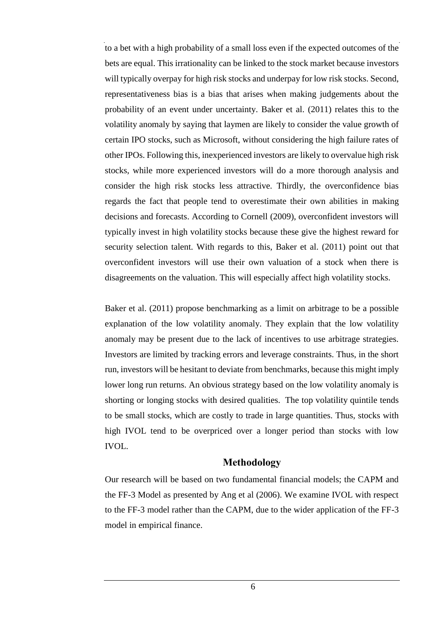to a bet with a high probability of a small loss even if the expected outcomes of the bets are equal. This irrationality can be linked to the stock market because investors will typically overpay for high risk stocks and underpay for low risk stocks. Second, representativeness bias is a bias that arises when making judgements about the probability of an event under uncertainty. Baker et al. (2011) relates this to the volatility anomaly by saying that laymen are likely to consider the value growth of certain IPO stocks, such as Microsoft, without considering the high failure rates of other IPOs. Following this, inexperienced investors are likely to overvalue high risk stocks, while more experienced investors will do a more thorough analysis and consider the high risk stocks less attractive. Thirdly, the overconfidence bias regards the fact that people tend to overestimate their own abilities in making decisions and forecasts. According to Cornell (2009), overconfident investors will typically invest in high volatility stocks because these give the highest reward for security selection talent. With regards to this, Baker et al. (2011) point out that overconfident investors will use their own valuation of a stock when there is disagreements on the valuation. This will especially affect high volatility stocks.

Baker et al. (2011) propose benchmarking as a limit on arbitrage to be a possible explanation of the low volatility anomaly. They explain that the low volatility anomaly may be present due to the lack of incentives to use arbitrage strategies. Investors are limited by tracking errors and leverage constraints. Thus, in the short run, investors will be hesitant to deviate from benchmarks, because this might imply lower long run returns. An obvious strategy based on the low volatility anomaly is shorting or longing stocks with desired qualities. The top volatility quintile tends to be small stocks, which are costly to trade in large quantities. Thus, stocks with high IVOL tend to be overpriced over a longer period than stocks with low IVOL.

# **Methodology**

<span id="page-7-0"></span>Our research will be based on two fundamental financial models; the CAPM and the FF-3 Model as presented by Ang et al (2006). We examine IVOL with respect to the FF-3 model rather than the CAPM, due to the wider application of the FF-3 model in empirical finance.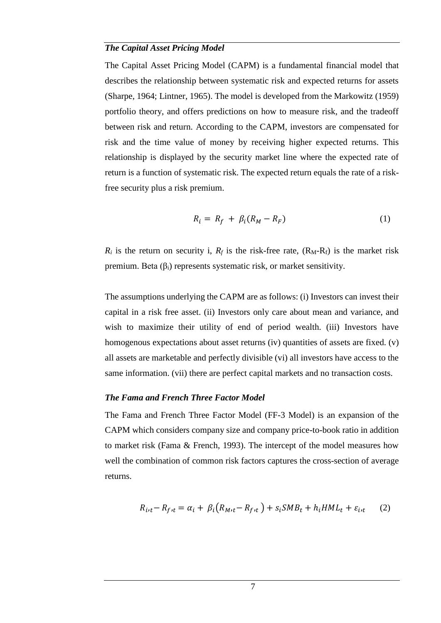#### <span id="page-8-0"></span>*The Capital Asset Pricing Model*

The Capital Asset Pricing Model (CAPM) is a fundamental financial model that describes the relationship between systematic risk and expected returns for assets (Sharpe, 1964; Lintner, 1965). The model is developed from the Markowitz (1959) portfolio theory, and offers predictions on how to measure risk, and the tradeoff between risk and return. According to the CAPM, investors are compensated for risk and the time value of money by receiving higher expected returns. This relationship is displayed by the security market line where the expected rate of return is a function of systematic risk. The expected return equals the rate of a riskfree security plus a risk premium.

$$
R_i = R_f + \beta_i (R_M - R_F) \tag{1}
$$

 $R_i$  is the return on security i,  $R_f$  is the risk-free rate,  $(R_M-R_f)$  is the market risk premium. Beta  $(\beta_i)$  represents systematic risk, or market sensitivity.

The assumptions underlying the CAPM are as follows: (i) Investors can invest their capital in a risk free asset. (ii) Investors only care about mean and variance, and wish to maximize their utility of end of period wealth. (iii) Investors have homogenous expectations about asset returns (iv) quantities of assets are fixed. (v) all assets are marketable and perfectly divisible (vi) all investors have access to the same information. (vii) there are perfect capital markets and no transaction costs.

#### <span id="page-8-1"></span>*The Fama and French Three Factor Model*

The Fama and French Three Factor Model (FF-3 Model) is an expansion of the CAPM which considers company size and company price-to-book ratio in addition to market risk (Fama & French, 1993). The intercept of the model measures how well the combination of common risk factors captures the cross-section of average returns.

$$
R_{i\prime t} - R_{f\prime t} = \alpha_i + \beta_i \left( R_{M\prime t} - R_{f\prime t} \right) + s_i S M B_t + h_i H M L_t + \varepsilon_{i\prime t} \tag{2}
$$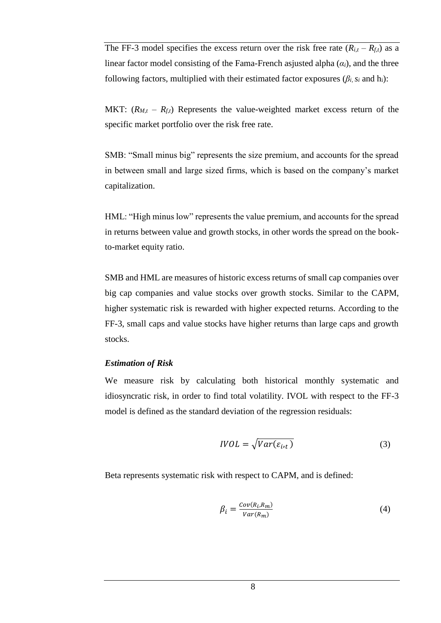The FF-3 model specifies the excess return over the risk free rate  $(R_{i,t} - R_{f,t})$  as a linear factor model consisting of the Fama-French asjusted alpha  $(\alpha_i)$ , and the three following factors, multiplied with their estimated factor exposures ( $\beta_i$ ,  $s_i$  and h<sub>i</sub>):

MKT:  $(R_{M,t} - R_{ft})$  Represents the value-weighted market excess return of the specific market portfolio over the risk free rate.

SMB: "Small minus big" represents the size premium, and accounts for the spread in between small and large sized firms, which is based on the company's market capitalization.

HML: "High minus low" represents the value premium, and accounts for the spread in returns between value and growth stocks, in other words the spread on the bookto-market equity ratio.

SMB and HML are measures of historic excess returns of small cap companies over big cap companies and value stocks over growth stocks. Similar to the CAPM, higher systematic risk is rewarded with higher expected returns. According to the FF-3, small caps and value stocks have higher returns than large caps and growth stocks.

#### <span id="page-9-0"></span>*Estimation of Risk*

We measure risk by calculating both historical monthly systematic and idiosyncratic risk, in order to find total volatility. IVOL with respect to the FF-3 model is defined as the standard deviation of the regression residuals:

$$
IVOL = \sqrt{Var(\varepsilon_{i\cdot t})}
$$
\n(3)

Beta represents systematic risk with respect to CAPM, and is defined:

$$
\beta_i = \frac{Cov(R_i, R_m)}{Var(R_m)}
$$
\n(4)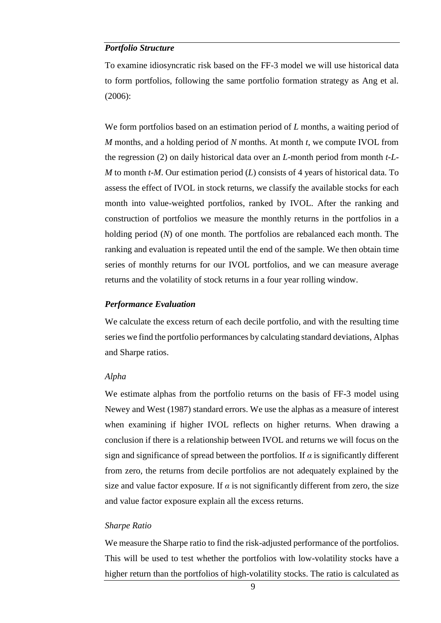#### <span id="page-10-0"></span>*Portfolio Structure*

To examine idiosyncratic risk based on the FF-3 model we will use historical data to form portfolios, following the same portfolio formation strategy as Ang et al. (2006):

We form portfolios based on an estimation period of *L* months, a waiting period of *M* months, and a holding period of *N* months. At month *t*, we compute IVOL from the regression (2) on daily historical data over an *L*-month period from month *t-L-M* to month *t-M*. Our estimation period (*L*) consists of 4 years of historical data. To assess the effect of IVOL in stock returns, we classify the available stocks for each month into value-weighted portfolios, ranked by IVOL. After the ranking and construction of portfolios we measure the monthly returns in the portfolios in a holding period (*N*) of one month. The portfolios are rebalanced each month. The ranking and evaluation is repeated until the end of the sample. We then obtain time series of monthly returns for our IVOL portfolios, and we can measure average returns and the volatility of stock returns in a four year rolling window.

#### <span id="page-10-1"></span>*Performance Evaluation*

We calculate the excess return of each decile portfolio, and with the resulting time series we find the portfolio performances by calculating standard deviations, Alphas and Sharpe ratios.

#### <span id="page-10-2"></span>*Alpha*

We estimate alphas from the portfolio returns on the basis of FF-3 model using Newey and West (1987) standard errors. We use the alphas as a measure of interest when examining if higher IVOL reflects on higher returns. When drawing a conclusion if there is a relationship between IVOL and returns we will focus on the sign and significance of spread between the portfolios. If  $\alpha$  is significantly different from zero, the returns from decile portfolios are not adequately explained by the size and value factor exposure. If  $\alpha$  is not significantly different from zero, the size and value factor exposure explain all the excess returns.

#### <span id="page-10-3"></span>*Sharpe Ratio*

We measure the Sharpe ratio to find the risk-adjusted performance of the portfolios. This will be used to test whether the portfolios with low-volatility stocks have a higher return than the portfolios of high-volatility stocks. The ratio is calculated as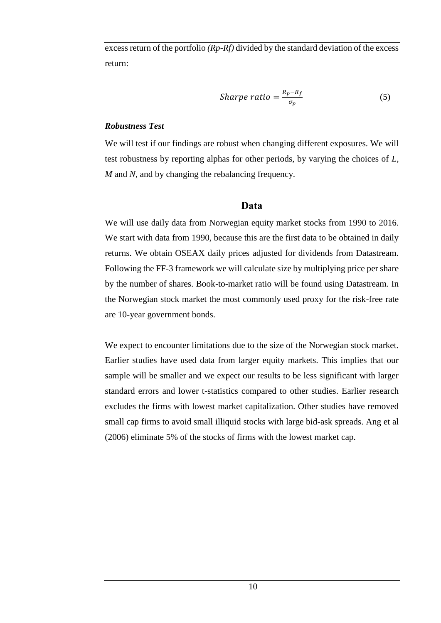excess return of the portfolio *(Rp-Rf)* divided by the standard deviation of the excess return:

*Sharpe ratio* = 
$$
\frac{R_p - R_f}{\sigma_p}
$$
 (5)

#### <span id="page-11-0"></span>*Robustness Test*

We will test if our findings are robust when changing different exposures. We will test robustness by reporting alphas for other periods, by varying the choices of *L*, *M* and *N*, and by changing the rebalancing frequency.

#### **Data**

<span id="page-11-1"></span>We will use daily data from Norwegian equity market stocks from 1990 to 2016. We start with data from 1990, because this are the first data to be obtained in daily returns. We obtain OSEAX daily prices adjusted for dividends from Datastream. Following the FF-3 framework we will calculate size by multiplying price per share by the number of shares. Book-to-market ratio will be found using Datastream. In the Norwegian stock market the most commonly used proxy for the risk-free rate are 10-year government bonds.

We expect to encounter limitations due to the size of the Norwegian stock market. Earlier studies have used data from larger equity markets. This implies that our sample will be smaller and we expect our results to be less significant with larger standard errors and lower t-statistics compared to other studies. Earlier research excludes the firms with lowest market capitalization. Other studies have removed small cap firms to avoid small illiquid stocks with large bid-ask spreads. Ang et al (2006) eliminate 5% of the stocks of firms with the lowest market cap.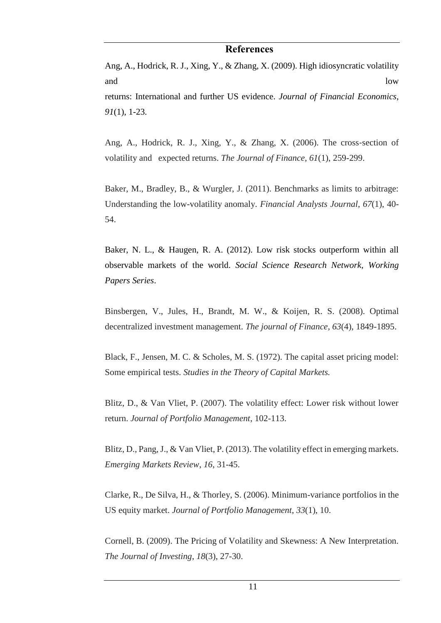#### **References**

<span id="page-12-0"></span>Ang, A., Hodrick, R. J., Xing, Y., & Zhang, X. (2009). High idiosyncratic volatility and low returns: International and further US evidence. *Journal of Financial Economics*, *91*(1), 1-23.

Ang, A., Hodrick, R. J., Xing, Y., & Zhang, X. (2006). The cross‐section of volatility and expected returns. *The Journal of Finance*, *61*(1), 259-299.

Baker, M., Bradley, B., & Wurgler, J. (2011). Benchmarks as limits to arbitrage: Understanding the low-volatility anomaly. *Financial Analysts Journal*, *67*(1), 40- 54.

Baker, N. L., & Haugen, R. A. (2012). Low risk stocks outperform within all observable markets of the world. *Social Science Research Network, Working Papers Series*.

Binsbergen, V., Jules, H., Brandt, M. W., & Koijen, R. S. (2008). Optimal decentralized investment management. *The journal of Finance*, *63*(4), 1849-1895.

Black, F., Jensen, M. C. & Scholes, M. S. (1972). The capital asset pricing model: Some empirical tests. *Studies in the Theory of Capital Markets.* 

Blitz, D., & Van Vliet, P. (2007). The volatility effect: Lower risk without lower return. *Journal of Portfolio Management*, 102-113.

Blitz, D., Pang, J., & Van Vliet, P. (2013). The volatility effect in emerging markets. *Emerging Markets Review*, *16*, 31-45.

Clarke, R., De Silva, H., & Thorley, S. (2006). Minimum-variance portfolios in the US equity market. *Journal of Portfolio Management*, *33*(1), 10.

Cornell, B. (2009). The Pricing of Volatility and Skewness: A New Interpretation. *The Journal of Investing*, *18*(3), 27-30.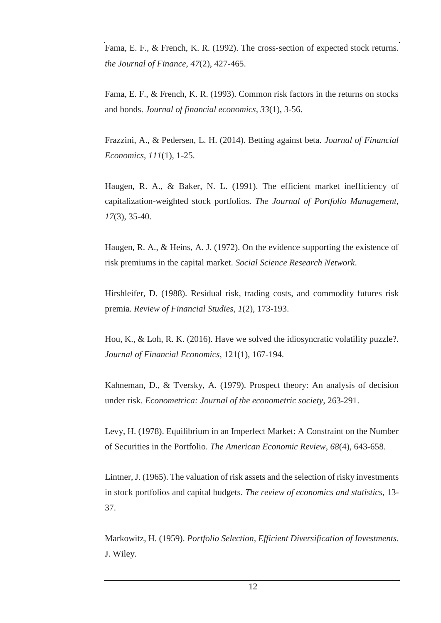Fama, E. F., & French, K. R. (1992). The cross-section of expected stock returns. *the Journal of Finance*, *47*(2), 427-465.

Fama, E. F., & French, K. R. (1993). Common risk factors in the returns on stocks and bonds. *Journal of financial economics*, *33*(1), 3-56.

Frazzini, A., & Pedersen, L. H. (2014). Betting against beta. *Journal of Financial Economics*, *111*(1), 1-25.

Haugen, R. A., & Baker, N. L. (1991). The efficient market inefficiency of capitalization-weighted stock portfolios. *The Journal of Portfolio Management*, *17*(3), 35-40.

Haugen, R. A., & Heins, A. J. (1972). On the evidence supporting the existence of risk premiums in the capital market. *Social Science Research Network*.

Hirshleifer, D. (1988). Residual risk, trading costs, and commodity futures risk premia. *Review of Financial Studies*, *1*(2), 173-193.

Hou, K., & Loh, R. K. (2016). Have we solved the idiosyncratic volatility puzzle?. *Journal of Financial Economics*, 121(1), 167-194.

Kahneman, D., & Tversky, A. (1979). Prospect theory: An analysis of decision under risk. *Econometrica: Journal of the econometric society*, 263-291.

Levy, H. (1978). Equilibrium in an Imperfect Market: A Constraint on the Number of Securities in the Portfolio. *The American Economic Review*, *68*(4), 643-658.

Lintner, J. (1965). The valuation of risk assets and the selection of risky investments in stock portfolios and capital budgets. *The review of economics and statistics*, 13- 37.

Markowitz, H. (1959). *Portfolio Selection, Efficient Diversification of Investments*. J. Wiley.